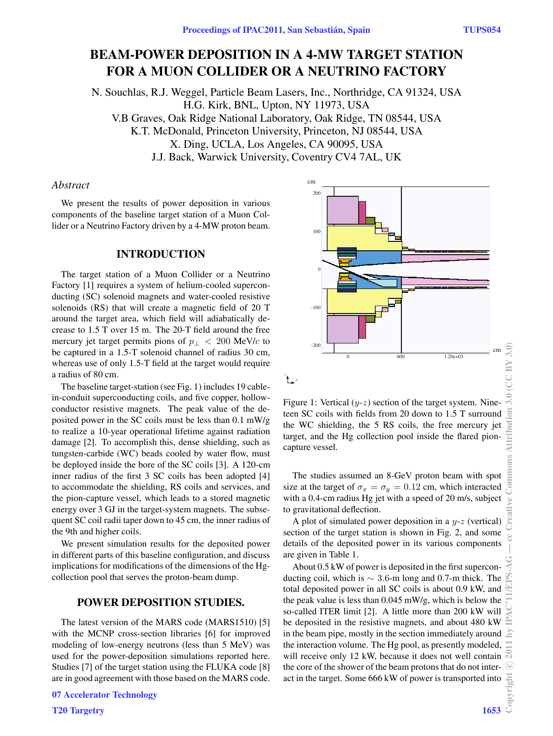# **BEAM-POWER DEPOSITION IN A 4-MW TARGET STATION FOR A MUON COLLIDER OR A NEUTRINO FACTORY**

N. Souchlas, R.J. Weggel, Particle Beam Lasers, Inc., Northridge, CA 91324, USA H.G. Kirk, BNL, Upton, NY 11973, USA V.B Graves, Oak Ridge National Laboratory, Oak Ridge, TN 08544, USA K.T. McDonald, Princeton University, Princeton, NJ 08544, USA X. Ding, UCLA, Los Angeles, CA 90095, USA J.J. Back, Warwick University, Coventry CV4 7AL, UK

# *Abstract*

We present the results of power deposition in various components of the baseline target station of a Muon Collider or a Neutrino Factory driven by a 4-MW proton beam.

#### **INTRODUCTION**

The target station of a Muon Collider or a Neutrino Factory [1] requires a system of helium-cooled superconducting (SC) solenoid magnets and water-cooled resistive solenoids (RS) that will create a magnetic field of 20 T around the target area, which field will adiabatically decrease to 1.5 T over 15 m. The 20-T field around the free mercury jet target permits pions of  $p<sub>⊥</sub> < 200$  MeV/c to be captured in a 1.5-T solenoid channel of radius 30 cm, whereas use of only 1.5-T field at the target would require a radius of 80 cm.

The baseline target-station (see Fig. 1) includes 19 cablein-conduit superconducting coils, and five copper, hollowconductor resistive magnets. The peak value of the deposited power in the SC coils must be less than 0.1 mW/g to realize a 10-year operational lifetime against radiation damage [2]. To accomplish this, dense shielding, such as tungsten-carbide (WC) beads cooled by water flow, must be deployed inside the bore of the SC coils [3]. A 120-cm inner radius of the first 3 SC coils has been adopted [4] to accommodate the shielding, RS coils and services, and the pion-capture vessel, which leads to a stored magnetic energy over 3 GJ in the target-system magnets. The subsequent SC coil radii taper down to 45 cm, the inner radius of the 9th and higher coils.

We present simulation results for the deposited power in different parts of this baseline configuration, and discuss implications for modifications of the dimensions of the Hgcollection pool that serves the proton-beam dump.

### **POWER DEPOSITION STUDIES.**

The latest version of the MARS code (MARS1510) [5] with the MCNP cross-section libraries [6] for improved modeling of low-energy neutrons (less than 5 MeV) was used for the power-deposition simulations reported here. Studies [7] of the target station using the FLUKA code [8] are in good agreement with those based on the MARS code.

T20 Targetry **1653** 



Figure 1: Vertical  $(y-z)$  section of the target system. Nineteen SC coils with fields from 20 down to 1.5 T surround the WC shielding, the 5 RS coils, the free mercury jet target, and the Hg collection pool inside the flared pioncapture vessel.

The studies assumed an 8-GeV proton beam with spot size at the target of  $\sigma_x = \sigma_y = 0.12$  cm, which interacted with a 0.4-cm radius Hg jet with a speed of 20 m/s, subject to gravitational deflection.

A plot of simulated power deposition in a  $y-z$  (vertical) section of the target station is shown in Fig. 2, and some details of the deposited power in its various components are given in Table 1.

About 0.5 kW of power is deposited in the first superconducting coil, which is  $\sim$  3.6-m long and 0.7-m thick. The total deposited power in all SC coils is about 0.9 kW, and the peak value is less than 0.045 mW/g, which is below the so-called ITER limit [2]. A little more than 200 kW will be deposited in the resistive magnets, and about 480 kW in the beam pipe, mostly in the section immediately around the interaction volume. The Hg pool, as presently modeled, will receive only 12 kW, because it does not well contain the core of the shower of the beam protons that do not interact in the target. Some 666 kW of power is transported into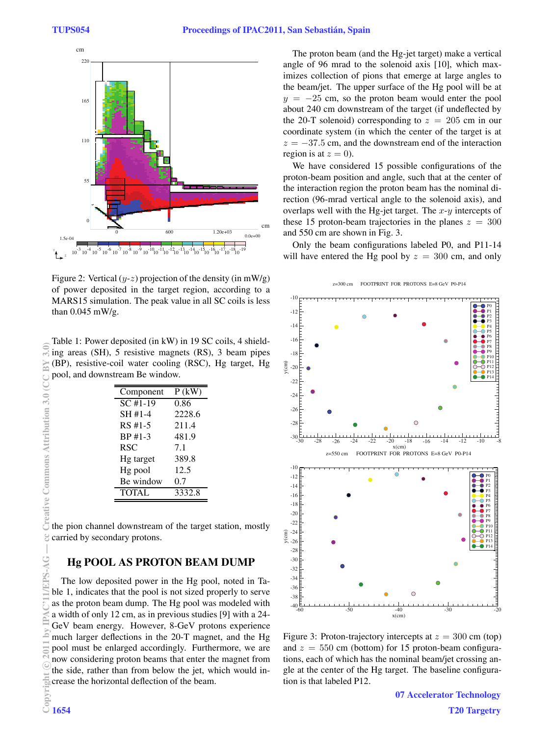

Figure 2: Vertical  $(y-z)$  projection of the density (in mW/g) of power deposited in the target region, according to a MARS15 simulation. The peak value in all SC coils is less than 0.045 mW/g.

Table 1: Power deposited (in kW) in 19 SC coils, 4 shielding areas (SH), 5 resistive magnets (RS), 3 beam pipes (BP), resistive-coil water cooling (RSC), Hg target, Hg pool, and downstream Be window.

| Component             | $P$ (kW) |
|-----------------------|----------|
| $\overline{SC}$ #1-19 | 0.86     |
| SH #1-4               | 2228.6   |
| $RS#1-5$              | 211.4    |
| $BP #1-3$             | 481.9    |
| <b>RSC</b>            | 7.1      |
| Hg target             | 389.8    |
| Hg pool               | 12.5     |
| Be window             | 0.7      |
| <b>TOTAL</b>          | 3332.8   |

the pion channel downstream of the target station, mostly carried by secondary protons.

## **Hg POOL AS PROTON BEAM DUMP**

The low deposited power in the Hg pool, noted in Table 1, indicates that the pool is not sized properly to serve as the proton beam dump. The Hg pool was modeled with a width of only 12 cm, as in previous studies [9] with a 24- GeV beam energy. However, 8-GeV protons experience much larger deflections in the 20-T magnet, and the Hg pool must be enlarged accordingly. Furthermore, we are now considering proton beams that enter the magnet from the side, rather than from below the jet, which would increase the horizontal deflection of the beam.<br>  $\frac{1}{2}$ <br>  $\frac{1}{2}$ <br>  $\frac{1654}{2}$ 

The proton beam (and the Hg-jet target) make a vertical angle of 96 mrad to the solenoid axis [10], which maximizes collection of pions that emerge at large angles to the beam/jet. The upper surface of the Hg pool will be at  $y = -25$  cm, so the proton beam would enter the pool about 240 cm downstream of the target (if undeflected by the 20-T solenoid) corresponding to  $z = 205$  cm in our coordinate system (in which the center of the target is at  $z = -37.5$  cm, and the downstream end of the interaction region is at  $z = 0$ ).

We have considered 15 possible configurations of the proton-beam position and angle, such that at the center of the interaction region the proton beam has the nominal direction (96-mrad vertical angle to the solenoid axis), and overlaps well with the Hg-jet target. The  $x-y$  intercepts of these 15 proton-beam trajectories in the planes  $z = 300$ and 550 cm are shown in Fig. 3.

Only the beam configurations labeled P0, and P11-14 will have entered the Hg pool by  $z = 300$  cm, and only

z=300 cm FOOTPRINT FOR PROTONS E=8 GeV P0-P14



Figure 3: Proton-trajectory intercepts at  $z = 300$  cm (top) and  $z = 550$  cm (bottom) for 15 proton-beam configurations, each of which has the nominal beam/jet crossing angle at the center of the Hg target. The baseline configuration is that labeled P12.